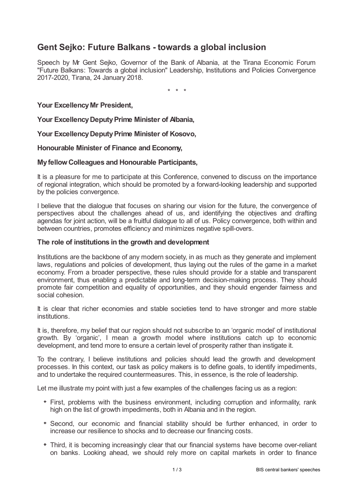# **Gent Sejko: Future Balkans - towards a global inclusion**

Speech by Mr Gent Sejko, Governor of the Bank of Albania, at the Tirana Economic Forum "Future Balkans: Towards a global inclusion" Leadership, Institutions and Policies Convergence 2017-2020, Tirana, 24 January 2018.

\* \* \*

**Your ExcellencyMr President,**

**Your ExcellencyDeputyPrime Minister of Albania,**

**Your ExcellencyDeputyPrime Minister of Kosovo,**

**Honourable Minister of Finance and Economy,**

### **MyfellowColleagues and Honourable Participants,**

It is a pleasure for me to participate at this Conference, convened to discuss on the importance of regional integration, which should be promoted by a forward-looking leadership and supported by the policies convergence.

I believe that the dialogue that focuses on sharing our vision for the future, the convergence of perspectives about the challenges ahead of us, and identifying the objectives and drafting agendas for joint action, will be a fruitful dialogue to all of us. Policy convergence, both within and between countries, promotes efficiency and minimizes negative spill-overs.

### **The role of institutions in the growth and development**

Institutions are the backbone of any modern society, in as much as they generate and implement laws, regulations and policies of development, thus laying out the rules of the game in a market economy. From a broader perspective, these rules should provide for a stable and transparent environment, thus enabling a predictable and long-term decision-making process. They should promote fair competition and equality of opportunities, and they should engender fairness and social cohesion.

It is clear that richer economies and stable societies tend to have stronger and more stable institutions.

It is, therefore, my belief that our region should not subscribe to an 'organic model' of institutional growth. By 'organic', I mean a growth model where institutions catch up to economic development, and tend more to ensure a certain level of prosperity rather than instigate it.

To the contrary, I believe institutions and policies should lead the growth and development processes. In this context, our task as policy makers is to define goals, to identify impediments, and to undertake the required countermeasures. This, in essence, is the role of leadership.

Let me illustrate my point with just a few examples of the challenges facing us as a region:

- First, problems with the business environment, including corruption and informality, rank high on the list of growth impediments, both in Albania and in the region.
- Second, our economic and financial stability should be further enhanced, in order to increase our resilience to shocks and to decrease our financing costs.
- Third, it is becoming increasingly clear that our financial systems have become over-reliant on banks. Looking ahead, we should rely more on capital markets in order to finance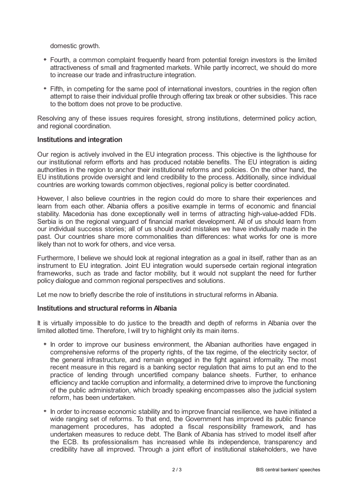domestic growth.

- Fourth, a common complaint frequently heard from potential foreign investors is the limited attractiveness of small and fragmented markets. While partly incorrect, we should do more to increase our trade and infrastructure integration.
- Fifth, in competing for the same pool of international investors, countries in the region often attempt to raise their individual profile through offering tax break or other subsidies. This race to the bottom does not prove to be productive.

Resolving any of these issues requires foresight, strong institutions, determined policy action, and regional coordination.

## **Institutions and integration**

Our region is actively involved in the EU integration process. This objective is the lighthouse for our institutional reform efforts and has produced notable benefits. The EU integration is aiding authorities in the region to anchor their institutional reforms and policies. On the other hand, the EU institutions provide oversight and lend credibility to the process. Additionally, since individual countries are working towards common objectives, regional policy is better coordinated.

However, I also believe countries in the region could do more to share their experiences and learn from each other. Albania offers a positive example in terms of economic and financial stability. Macedonia has done exceptionally well in terms of attracting high-value-added FDIs. Serbia is on the regional vanguard of financial market development. All of us should learn from our individual success stories; all of us should avoid mistakes we have individually made in the past. Our countries share more commonalities than differences: what works for one is more likely than not to work for others, and vice versa.

Furthermore, I believe we should look at regional integration as a goal in itself, rather than as an instrument to EU integration. Joint EU integration would supersede certain regional integration frameworks, such as trade and factor mobility, but it would not supplant the need for further policy dialogue and common regional perspectives and solutions.

Let me now to briefly describe the role of institutions in structural reforms in Albania.

## **Institutions and structural reforms in Albania**

It is virtually impossible to do justice to the breadth and depth of reforms in Albania over the limited allotted time. Therefore, I will try to highlight only its main items.

- In order to improve our business environment, the Albanian authorities have engaged in comprehensive reforms of the property rights, of the tax regime, of the electricity sector, of the general infrastructure, and remain engaged in the fight against informality. The most recent measure in this regard is a banking sector regulation that aims to put an end to the practice of lending through uncertified company balance sheets. Further, to enhance efficiency and tackle corruption and informality, a determined drive to improve the functioning of the public administration, which broadly speaking encompasses also the judicial system reform, has been undertaken.
- In order to increase economic stability and to improve financial resilience, we have initiated a wide ranging set of reforms. To that end, the Government has improved its public finance management procedures, has adopted a fiscal responsibility framework, and has undertaken measures to reduce debt. The Bank of Albania has strived to model itself after the ECB. Its professionalism has increased while its independence, transparency and credibility have all improved. Through a joint effort of institutional stakeholders, we have